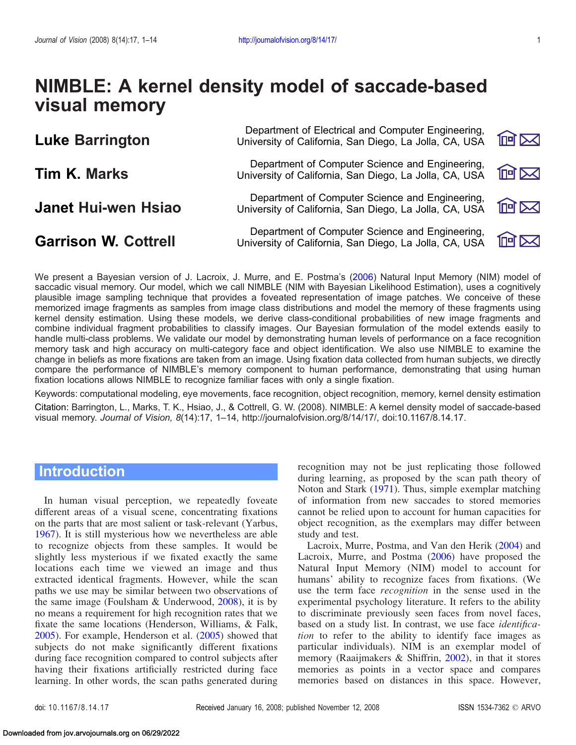# NIMBLE: A kernel density model of saccade-based visual memory

| <b>Luke Barrington</b>      | Department of Electrical and Computer Engineering,<br>University of California, San Diego, La Jolla, CA, USA | <b>阿区</b> |
|-----------------------------|--------------------------------------------------------------------------------------------------------------|-----------|
| <b>Tim K. Marks</b>         | Department of Computer Science and Engineering,<br>University of California, San Diego, La Jolla, CA, USA    | 阿冈        |
| <b>Janet Hui-wen Hsiao</b>  | Department of Computer Science and Engineering,<br>University of California, San Diego, La Jolla, CA, USA    | 回区        |
| <b>Garrison W. Cottrell</b> | Department of Computer Science and Engineering,<br>University of California, San Diego, La Jolla, CA, USA    | 网间        |

We present a Bayesian version of J. Lacroix, J. Murre, and E. Postma's ([2006\)](#page-12-0) Natural Input Memory (NIM) model of saccadic visual memory. Our model, which we call NIMBLE (NIM with Bayesian Likelihood Estimation), uses a cognitively plausible image sampling technique that provides a foveated representation of image patches. We conceive of these memorized image fragments as samples from image class distributions and model the memory of these fragments using kernel density estimation. Using these models, we derive class-conditional probabilities of new image fragments and combine individual fragment probabilities to classify images. Our Bayesian formulation of the model extends easily to handle multi-class problems. We validate our model by demonstrating human levels of performance on a face recognition memory task and high accuracy on multi-category face and object identification. We also use NIMBLE to examine the change in beliefs as more fixations are taken from an image. Using fixation data collected from human subjects, we directly compare the performance of NIMBLE's memory component to human performance, demonstrating that using human fixation locations allows NIMBLE to recognize familiar faces with only a single fixation.

Keywords: computational modeling, eye movements, face recognition, object recognition, memory, kernel density estimation Citation: Barrington, L., Marks, T. K., Hsiao, J., & Cottrell, G. W. (2008). NIMBLE: A kernel density model of saccade-based visual memory. Journal of Vision, 8(14):17, 1–14, http://journalofvision.org/8/14/17/, doi:10.1167/8.14.17.

# **Introduction**

In human visual perception, we repeatedly foveate different areas of a visual scene, concentrating fixations on the parts that are most salient or task-relevant (Yarbus, [1967\)](#page-13-0). It is still mysterious how we nevertheless are able to recognize objects from these samples. It would be slightly less mysterious if we fixated exactly the same locations each time we viewed an image and thus extracted identical fragments. However, while the scan paths we use may be similar between two observations of the same image (Foulsham & Underwood, [2008](#page-12-0)), it is by no means a requirement for high recognition rates that we fixate the same locations (Henderson, Williams, & Falk, [2005\)](#page-12-0). For example, Henderson et al. [\(2005](#page-12-0)) showed that subjects do not make significantly different fixations during face recognition compared to control subjects after having their fixations artificially restricted during face learning. In other words, the scan paths generated during recognition may not be just replicating those followed during learning, as proposed by the scan path theory of Noton and Stark [\(1971\)](#page-12-0). Thus, simple exemplar matching of information from new saccades to stored memories cannot be relied upon to account for human capacities for object recognition, as the exemplars may differ between study and test.

Lacroix, Murre, Postma, and Van den Herik [\(2004](#page-12-0)) and Lacroix, Murre, and Postma [\(2006\)](#page-12-0) have proposed the Natural Input Memory (NIM) model to account for humans' ability to recognize faces from fixations. (We use the term face recognition in the sense used in the experimental psychology literature. It refers to the ability to discriminate previously seen faces from novel faces, based on a study list. In contrast, we use face *identifica*tion to refer to the ability to identify face images as particular individuals). NIM is an exemplar model of memory (Raaijmakers & Shiffrin, [2002](#page-12-0)), in that it stores memories as points in a vector space and compares memories based on distances in this space. However,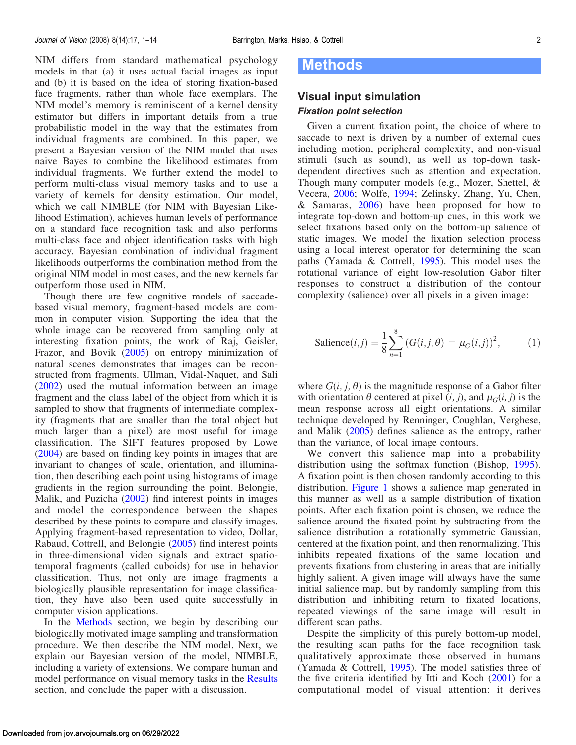<span id="page-1-0"></span>NIM differs from standard mathematical psychology models in that (a) it uses actual facial images as input and (b) it is based on the idea of storing fixation-based face fragments, rather than whole face exemplars. The NIM model's memory is reminiscent of a kernel density estimator but differs in important details from a true probabilistic model in the way that the estimates from individual fragments are combined. In this paper, we present a Bayesian version of the NIM model that uses naive Bayes to combine the likelihood estimates from individual fragments. We further extend the model to perform multi-class visual memory tasks and to use a variety of kernels for density estimation. Our model, which we call NIMBLE (for NIM with Bayesian Likelihood Estimation), achieves human levels of performance on a standard face recognition task and also performs multi-class face and object identification tasks with high accuracy. Bayesian combination of individual fragment likelihoods outperforms the combination method from the original NIM model in most cases, and the new kernels far outperform those used in NIM.

Though there are few cognitive models of saccadebased visual memory, fragment-based models are common in computer vision. Supporting the idea that the whole image can be recovered from sampling only at interesting fixation points, the work of Raj, Geisler, Frazor, and Bovik ([2005\)](#page-12-0) on entropy minimization of natural scenes demonstrates that images can be reconstructed from fragments. Ullman, Vidal-Naquet, and Sali ([2002\)](#page-12-0) used the mutual information between an image fragment and the class label of the object from which it is sampled to show that fragments of intermediate complexity (fragments that are smaller than the total object but much larger than a pixel) are most useful for image classification. The SIFT features proposed by Lowe ([2004\)](#page-12-0) are based on finding key points in images that are invariant to changes of scale, orientation, and illumination, then describing each point using histograms of image gradients in the region surrounding the point. Belongie, Malik, and Puzicha ([2002\)](#page-11-0) find interest points in images and model the correspondence between the shapes described by these points to compare and classify images. Applying fragment-based representation to video, Dollar, Rabaud, Cottrell, and Belongie ([2005\)](#page-12-0) find interest points in three-dimensional video signals and extract spatiotemporal fragments (called cuboids) for use in behavior classification. Thus, not only are image fragments a biologically plausible representation for image classification, they have also been used quite successfully in computer vision applications.

In the Methods section, we begin by describing our biologically motivated image sampling and transformation procedure. We then describe the NIM model. Next, we explain our Bayesian version of the model, NIMBLE, including a variety of extensions. We compare human and model performance on visual memory tasks in the [Results](#page-5-0) section, and conclude the paper with a discussion.

# Methods

# Visual input simulation Fixation point selection

Given a current fixation point, the choice of where to saccade to next is driven by a number of external cues including motion, peripheral complexity, and non-visual stimuli (such as sound), as well as top-down taskdependent directives such as attention and expectation. Though many computer models (e.g., Mozer, Shettel, & Vecera, [2006;](#page-12-0) Wolfe, [1994;](#page-13-0) Zelinsky, Zhang, Yu, Chen, & Samaras, [2006](#page-13-0)) have been proposed for how to integrate top-down and bottom-up cues, in this work we select fixations based only on the bottom-up salience of static images. We model the fixation selection process using a local interest operator for determining the scan paths (Yamada & Cottrell, [1995](#page-13-0)). This model uses the rotational variance of eight low-resolution Gabor filter responses to construct a distribution of the contour complexity (salience) over all pixels in a given image:

$$
\text{Salience}(i,j) = \frac{1}{8} \sum_{n=1}^{8} \left( G(i,j,\theta) - \mu_G(i,j) \right)^2, \tag{1}
$$

where  $G(i, j, \theta)$  is the magnitude response of a Gabor filter with orientation  $\theta$  centered at pixel  $(i, j)$ , and  $\mu_G(i, j)$  is the mean response across all eight orientations. A similar technique developed by Renninger, Coughlan, Verghese, and Malik [\(2005](#page-12-0)) defines salience as the entropy, rather than the variance, of local image contours.

We convert this salience map into a probability distribution using the softmax function (Bishop, [1995\)](#page-11-0). A fixation point is then chosen randomly according to this distribution. [Figure 1](#page-2-0) shows a salience map generated in this manner as well as a sample distribution of fixation points. After each fixation point is chosen, we reduce the salience around the fixated point by subtracting from the salience distribution a rotationally symmetric Gaussian, centered at the fixation point, and then renormalizing. This inhibits repeated fixations of the same location and prevents fixations from clustering in areas that are initially highly salient. A given image will always have the same initial salience map, but by randomly sampling from this distribution and inhibiting return to fixated locations, repeated viewings of the same image will result in different scan paths.

Despite the simplicity of this purely bottom-up model, the resulting scan paths for the face recognition task qualitatively approximate those observed in humans (Yamada & Cottrell, [1995\)](#page-13-0). The model satisfies three of the five criteria identified by Itti and Koch ([2001\)](#page-12-0) for a computational model of visual attention: it derives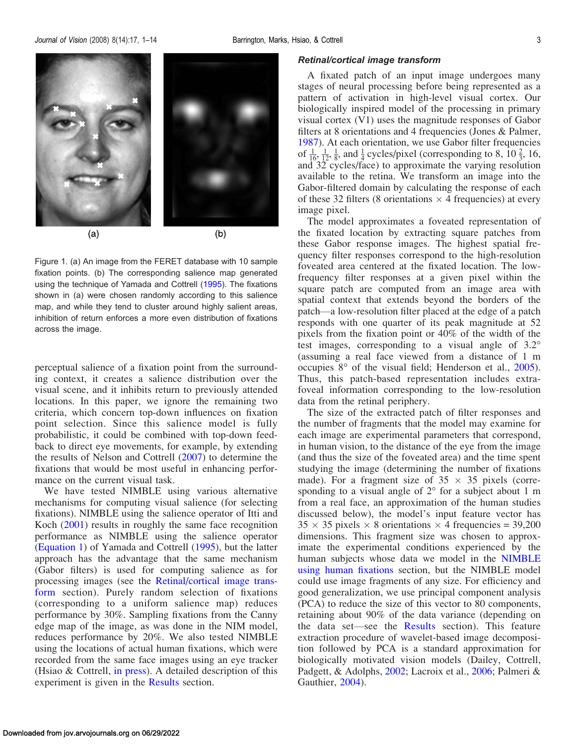<span id="page-2-0"></span>

Figure 1. (a) An image from the FERET database with 10 sample fixation points. (b) The corresponding salience map generated using the technique of Yamada and Cottrell [\(1995\)](#page-13-0). The fixations shown in (a) were chosen randomly according to this salience map, and while they tend to cluster around highly salient areas, inhibition of return enforces a more even distribution of fixations across the image.

perceptual salience of a fixation point from the surrounding context, it creates a salience distribution over the visual scene, and it inhibits return to previously attended locations. In this paper, we ignore the remaining two criteria, which concern top-down influences on fixation point selection. Since this salience model is fully probabilistic, it could be combined with top-down feedback to direct eye movements, for example, by extending the results of Nelson and Cottrell [\(2007](#page-12-0)) to determine the fixations that would be most useful in enhancing performance on the current visual task.

We have tested NIMBLE using various alternative mechanisms for computing visual salience (for selecting fixations). NIMBLE using the salience operator of Itti and Koch [\(2001\)](#page-12-0) results in roughly the same face recognition performance as NIMBLE using the salience operator ([Equation 1\)](#page-1-0) of Yamada and Cottrell [\(1995](#page-13-0)), but the latter approach has the advantage that the same mechanism (Gabor filters) is used for computing salience as for processing images (see the Retinal/cortical image transform section). Purely random selection of fixations (corresponding to a uniform salience map) reduces performance by 30%. Sampling fixations from the Canny edge map of the image, as was done in the NIM model, reduces performance by 20%. We also tested NIMBLE using the locations of actual human fixations, which were recorded from the same face images using an eye tracker (Hsiao & Cottrell, [in press\)](#page-12-0). A detailed description of this experiment is given in the [Results](#page-5-0) section.

#### Retinal/cortical image transform

A fixated patch of an input image undergoes many stages of neural processing before being represented as a pattern of activation in high-level visual cortex. Our biologically inspired model of the processing in primary visual cortex (V1) uses the magnitude responses of Gabor filters at 8 orientations and 4 frequencies (Jones & Palmer, [1987\)](#page-12-0). At each orientation, we use Gabor filter frequencies of  $\frac{1}{16}$ ,  $\frac{1}{12}$ ,  $\frac{1}{8}$ , and  $\frac{1}{4}$  cycles/pixel (corresponding to 8,  $10\frac{2}{3}$ , 16, and 32 cycles/face) to approximate the varying resolution available to the retina. We transform an image into the Gabor-filtered domain by calculating the response of each of these 32 filters (8 orientations  $\times$  4 frequencies) at every image pixel.

The model approximates a foveated representation of the fixated location by extracting square patches from these Gabor response images. The highest spatial frequency filter responses correspond to the high-resolution foveated area centered at the fixated location. The lowfrequency filter responses at a given pixel within the square patch are computed from an image area with spatial context that extends beyond the borders of the patch—a low-resolution filter placed at the edge of a patch responds with one quarter of its peak magnitude at 52 pixels from the fixation point or 40% of the width of the test images, corresponding to a visual angle of  $3.2^{\circ}$ (assuming a real face viewed from a distance of 1 m occupies  $8^{\circ}$  of the visual field; Henderson et al., [2005\)](#page-12-0). Thus, this patch-based representation includes extrafoveal information corresponding to the low-resolution data from the retinal periphery.

The size of the extracted patch of filter responses and the number of fragments that the model may examine for each image are experimental parameters that correspond, in human vision, to the distance of the eye from the image (and thus the size of the foveated area) and the time spent studying the image (determining the number of fixations made). For a fragment size of  $35 \times 35$  pixels (corresponding to a visual angle of  $2^{\circ}$  for a subject about 1 m from a real face, an approximation of the human studies discussed below), the model's input feature vector has  $35 \times 35$  pixels  $\times$  8 orientations  $\times$  4 frequencies = 39,200 dimensions. This fragment size was chosen to approximate the experimental conditions experienced by the human subjects whose data we model in the [NIMBLE](#page-7-0) [using human fixations](#page-7-0) section, but the NIMBLE model could use image fragments of any size. For efficiency and good generalization, we use principal component analysis (PCA) to reduce the size of this vector to 80 components, retaining about 90% of the data variance (depending on the data set—see the [Results](#page-5-0) section). This feature extraction procedure of wavelet-based image decomposition followed by PCA is a standard approximation for biologically motivated vision models (Dailey, Cottrell, Padgett, & Adolphs, [2002](#page-11-0); Lacroix et al., [2006](#page-12-0); Palmeri & Gauthier, [2004](#page-12-0)).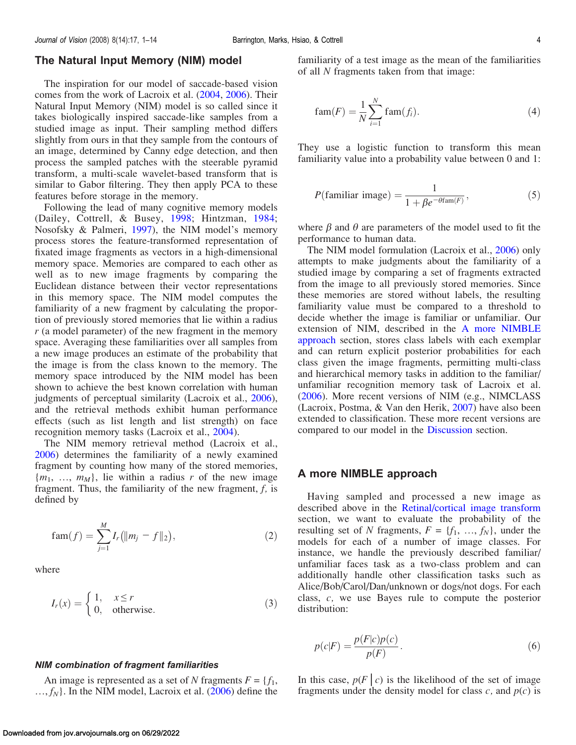<span id="page-3-0"></span>The inspiration for our model of saccade-based vision comes from the work of Lacroix et al. [\(2004](#page-12-0), [2006\)](#page-12-0). Their Natural Input Memory (NIM) model is so called since it takes biologically inspired saccade-like samples from a studied image as input. Their sampling method differs slightly from ours in that they sample from the contours of an image, determined by Canny edge detection, and then process the sampled patches with the steerable pyramid transform, a multi-scale wavelet-based transform that is similar to Gabor filtering. They then apply PCA to these features before storage in the memory.

Following the lead of many cognitive memory models (Dailey, Cottrell, & Busey, [1998;](#page-11-0) Hintzman, [1984](#page-12-0); Nosofsky & Palmeri, [1997\)](#page-12-0), the NIM model's memory process stores the feature-transformed representation of fixated image fragments as vectors in a high-dimensional memory space. Memories are compared to each other as well as to new image fragments by comparing the Euclidean distance between their vector representations in this memory space. The NIM model computes the familiarity of a new fragment by calculating the proportion of previously stored memories that lie within a radius  $r$  (a model parameter) of the new fragment in the memory space. Averaging these familiarities over all samples from a new image produces an estimate of the probability that the image is from the class known to the memory. The memory space introduced by the NIM model has been shown to achieve the best known correlation with human judgments of perceptual similarity (Lacroix et al., [2006\)](#page-12-0), and the retrieval methods exhibit human performance effects (such as list length and list strength) on face recognition memory tasks (Lacroix et al., [2004](#page-12-0)).

The NIM memory retrieval method (Lacroix et al., [2006\)](#page-12-0) determines the familiarity of a newly examined fragment by counting how many of the stored memories,  ${m_1, ..., m_M}$ , lie within a radius r of the new image fragment. Thus, the familiarity of the new fragment, f, is defined by

$$
fam(f) = \sum_{j=1}^{M} I_r (||m_j - f||_2), \qquad (2)
$$

where

$$
I_r(x) = \begin{cases} 1, & x \le r \\ 0, & \text{otherwise.} \end{cases} \tag{3}
$$

#### NIM combination of fragment familiarities

An image is represented as a set of N fragments  $F = \{f_1,$  $..., f_N$ . In the NIM model, Lacroix et al. ([2006\)](#page-12-0) define the familiarity of a test image as the mean of the familiarities of all N fragments taken from that image:

$$
fam(F) = \frac{1}{N} \sum_{i=1}^{N} \text{fam}(f_i). \tag{4}
$$

They use a logistic function to transform this mean familiarity value into a probability value between 0 and 1:

$$
P(\text{familiar image}) = \frac{1}{1 + \beta e^{-\theta \text{fam}(F)}},\tag{5}
$$

where  $\beta$  and  $\theta$  are parameters of the model used to fit the performance to human data.

The NIM model formulation (Lacroix et al., [2006\)](#page-12-0) only attempts to make judgments about the familiarity of a studied image by comparing a set of fragments extracted from the image to all previously stored memories. Since these memories are stored without labels, the resulting familiarity value must be compared to a threshold to decide whether the image is familiar or unfamiliar. Our extension of NIM, described in the A more NIMBLE approach section, stores class labels with each exemplar and can return explicit posterior probabilities for each class given the image fragments, permitting multi-class and hierarchical memory tasks in addition to the familiar/ unfamiliar recognition memory task of Lacroix et al. [\(2006](#page-12-0)). More recent versions of NIM (e.g., NIMCLASS (Lacroix, Postma, & Van den Herik, [2007\)](#page-12-0) have also been extended to classification. These more recent versions are compared to our model in the [Discussion](#page-10-0) section.

## A more NIMBLE approach

Having sampled and processed a new image as described above in the [Retinal/cortical image transform](#page-2-0) section, we want to evaluate the probability of the resulting set of N fragments,  $F = \{f_1, ..., f_N\}$ , under the models for each of a number of image classes. For instance, we handle the previously described familiar/ unfamiliar faces task as a two-class problem and can additionally handle other classification tasks such as Alice/Bob/Carol/Dan/unknown or dogs/not dogs. For each class, c, we use Bayes rule to compute the posterior distribution:

$$
p(c|F) = \frac{p(F|c)p(c)}{p(F)}.
$$
\n<sup>(6)</sup>

In this case,  $p(F|c)$  is the likelihood of the set of image fragments under the density model for class  $c$ , and  $p(c)$  is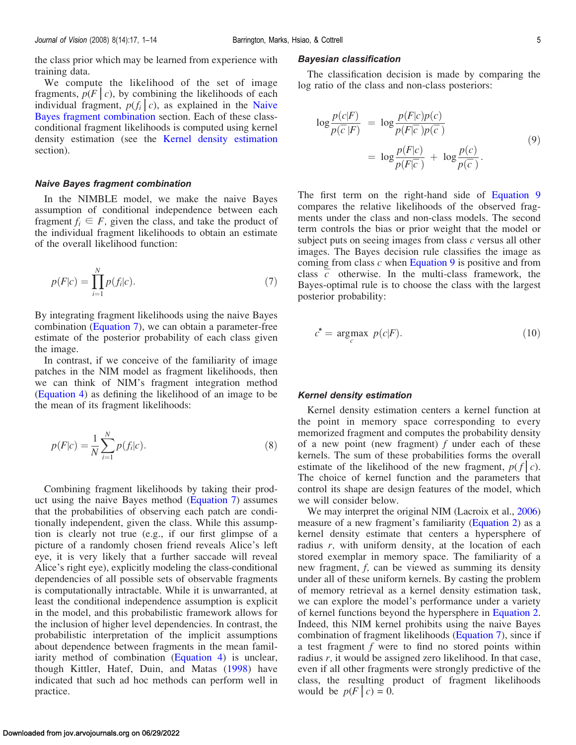<span id="page-4-0"></span>the class prior which may be learned from experience with training data.

We compute the likelihood of the set of image fragments,  $p(F|c)$ , by combining the likelihoods of each individual fragment,  $p(f_i | c)$ , as explained in the Naive Bayes fragment combination section. Each of these classconditional fragment likelihoods is computed using kernel density estimation (see the Kernel density estimation section).

#### Naive Bayes fragment combination

In the NIMBLE model, we make the naive Bayes assumption of conditional independence between each fragment  $f_i \nightharpoonup F$ , given the class, and take the product of the individual fragment likelihoods to obtain an estimate of the overall likelihood function:

$$
p(F|c) = \prod_{i=1}^{N} p(f_i|c).
$$
 (7)

By integrating fragment likelihoods using the naive Bayes combination (Equation 7), we can obtain a parameter-free estimate of the posterior probability of each class given the image.

In contrast, if we conceive of the familiarity of image patches in the NIM model as fragment likelihoods, then we can think of NIM's fragment integration method ([Equation 4\)](#page-3-0) as defining the likelihood of an image to be the mean of its fragment likelihoods:

$$
p(F|c) = \frac{1}{N} \sum_{i=1}^{N} p(f_i|c).
$$
 (8)

Combining fragment likelihoods by taking their product using the naive Bayes method (Equation 7) assumes that the probabilities of observing each patch are conditionally independent, given the class. While this assumption is clearly not true (e.g., if our first glimpse of a picture of a randomly chosen friend reveals Alice's left eye, it is very likely that a further saccade will reveal Alice's right eye), explicitly modeling the class-conditional dependencies of all possible sets of observable fragments is computationally intractable. While it is unwarranted, at least the conditional independence assumption is explicit in the model, and this probabilistic framework allows for the inclusion of higher level dependencies. In contrast, the probabilistic interpretation of the implicit assumptions about dependence between fragments in the mean familiarity method of combination ([Equation 4\)](#page-3-0) is unclear, though Kittler, Hatef, Duin, and Matas [\(1998\)](#page-12-0) have indicated that such ad hoc methods can perform well in practice.

#### Bayesian classification

The classification decision is made by comparing the log ratio of the class and non-class posteriors:

$$
\log \frac{p(c|F)}{p(\overline{c}|F)} = \log \frac{p(F|c)p(c)}{p(F|\overline{c})p(\overline{c})}
$$
  
= 
$$
\log \frac{p(F|c)}{p(F|\overline{c})} + \log \frac{p(c)}{p(\overline{c})}.
$$
 (9)

The first term on the right-hand side of Equation 9 compares the relative likelihoods of the observed fragments under the class and non-class models. The second term controls the bias or prior weight that the model or subject puts on seeing images from class c versus all other images. The Bayes decision rule classifies the image as coming from class  $c$  when Equation 9 is positive and from class  $\overline{c}$  otherwise. In the multi-class framework, the Bayes-optimal rule is to choose the class with the largest posterior probability:

$$
c^* = \underset{c}{\text{argmax}} \ p(c|F). \tag{10}
$$

#### Kernel density estimation

Kernel density estimation centers a kernel function at the point in memory space corresponding to every memorized fragment and computes the probability density of a new point (new fragment)  $f$  under each of these kernels. The sum of these probabilities forms the overall estimate of the likelihood of the new fragment,  $p(f|c)$ . The choice of kernel function and the parameters that control its shape are design features of the model, which we will consider below.

We may interpret the original NIM (Lacroix et al., [2006](#page-12-0)) measure of a new fragment's familiarity [\(Equation 2](#page-3-0)) as a kernel density estimate that centers a hypersphere of radius  $r$ , with uniform density, at the location of each stored exemplar in memory space. The familiarity of a new fragment, f, can be viewed as summing its density under all of these uniform kernels. By casting the problem of memory retrieval as a kernel density estimation task, we can explore the model's performance under a variety of kernel functions beyond the hypersphere in [Equation 2](#page-3-0). Indeed, this NIM kernel prohibits using the naive Bayes combination of fragment likelihoods (Equation 7), since if a test fragment  $f$  were to find no stored points within radius r, it would be assigned zero likelihood. In that case, even if all other fragments were strongly predictive of the class, the resulting product of fragment likelihoods would be  $p(F|c) = 0$ .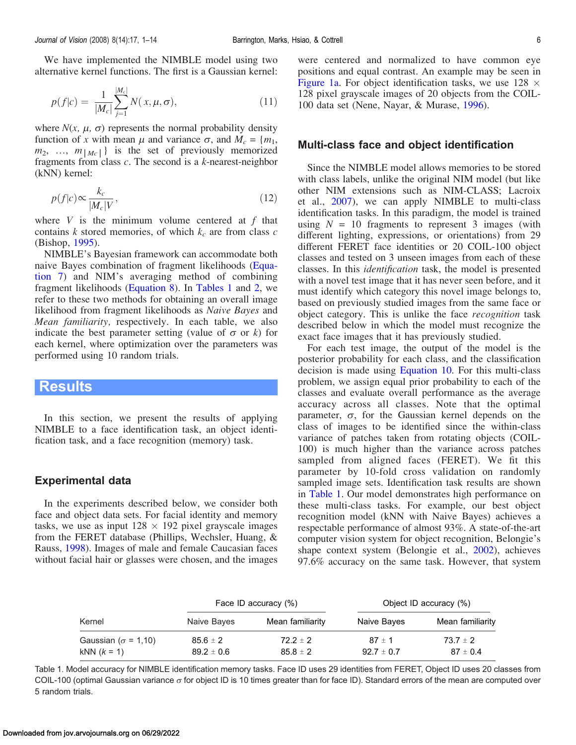<span id="page-5-0"></span>We have implemented the NIMBLE model using two alternative kernel functions. The first is a Gaussian kernel:

$$
p(f|c) = \frac{1}{|M_c|} \sum_{j=1}^{|M_c|} N(x, \mu, \sigma),
$$
\n(11)

where  $N(x, \mu, \sigma)$  represents the normal probability density function of x with mean  $\mu$  and variance  $\sigma$ , and  $M_c = \{m_1,$  $m_2, \ldots, m_{\lfloor M_c \rfloor}$  is the set of previously memorized fragments from class  $c$ . The second is a  $k$ -nearest-neighbor (kNN) kernel:

$$
p(f|c) \propto \frac{k_c}{|M_c|V},\tag{12}
$$

where  $V$  is the minimum volume centered at  $f$  that contains  $k$  stored memories, of which  $k_c$  are from class  $c$ (Bishop, [1995\)](#page-11-0).

NIMBLE's Bayesian framework can accommodate both naive Bayes combination of fragment likelihoods [\(Equa](#page-4-0)[tion 7](#page-4-0)) and NIM's averaging method of combining fragment likelihoods ([Equation 8\)](#page-4-0). In Tables 1 and [2,](#page-6-0) we refer to these two methods for obtaining an overall image likelihood from fragment likelihoods as Naive Bayes and Mean familiarity, respectively. In each table, we also indicate the best parameter setting (value of  $\sigma$  or k) for each kernel, where optimization over the parameters was performed using 10 random trials.

## Results

In this section, we present the results of applying NIMBLE to a face identification task, an object identification task, and a face recognition (memory) task.

## Experimental data

In the experiments described below, we consider both face and object data sets. For facial identity and memory tasks, we use as input  $128 \times 192$  pixel grayscale images from the FERET database (Phillips, Wechsler, Huang, & Rauss, [1998\)](#page-12-0). Images of male and female Caucasian faces without facial hair or glasses were chosen, and the images were centered and normalized to have common eye positions and equal contrast. An example may be seen in [Figure 1a](#page-2-0). For object identification tasks, we use  $128 \times$ 128 pixel grayscale images of 20 objects from the COIL-100 data set (Nene, Nayar, & Murase, [1996](#page-12-0)).

## Multi-class face and object identification

Since the NIMBLE model allows memories to be stored with class labels, unlike the original NIM model (but like other NIM extensions such as NIM-CLASS; Lacroix et al., [2007](#page-12-0)), we can apply NIMBLE to multi-class identification tasks. In this paradigm, the model is trained using  $N = 10$  fragments to represent 3 images (with different lighting, expressions, or orientations) from 29 different FERET face identities or 20 COIL-100 object classes and tested on 3 unseen images from each of these classes. In this identification task, the model is presented with a novel test image that it has never seen before, and it must identify which category this novel image belongs to, based on previously studied images from the same face or object category. This is unlike the face recognition task described below in which the model must recognize the exact face images that it has previously studied.

For each test image, the output of the model is the posterior probability for each class, and the classification decision is made using [Equation 10](#page-4-0). For this multi-class problem, we assign equal prior probability to each of the classes and evaluate overall performance as the average accuracy across all classes. Note that the optimal parameter,  $\sigma$ , for the Gaussian kernel depends on the class of images to be identified since the within-class variance of patches taken from rotating objects (COIL-100) is much higher than the variance across patches sampled from aligned faces (FERET). We fit this parameter by 10-fold cross validation on randomly sampled image sets. Identification task results are shown in Table 1. Our model demonstrates high performance on these multi-class tasks. For example, our best object recognition model (kNN with Naive Bayes) achieves a respectable performance of almost 93%. A state-of-the-art computer vision system for object recognition, Belongie's shape context system (Belongie et al., [2002](#page-11-0)), achieves 97.6% accuracy on the same task. However, that system

| Kernel                      | Face ID accuracy (%) |                  | Object ID accuracy (%) |                  |
|-----------------------------|----------------------|------------------|------------------------|------------------|
|                             | Naive Bayes          | Mean familiarity | Naive Bayes            | Mean familiarity |
| Gaussian ( $\sigma$ = 1,10) | $85.6 \pm 2$         | $72.2 \pm 2$     | $87 \pm 1$             | $73.7 \pm 2$     |
| $kNN (k = 1)$               | $89.2 \pm 0.6$       | $85.8 \pm 2$     | $92.7 \pm 0.7$         | $87 \pm 0.4$     |

Table 1. Model accuracy for NIMBLE identification memory tasks. Face ID uses 29 identities from FERET, Object ID uses 20 classes from COIL-100 (optimal Gaussian variance  $\sigma$  for object ID is 10 times greater than for face ID). Standard errors of the mean are computed over 5 random trials.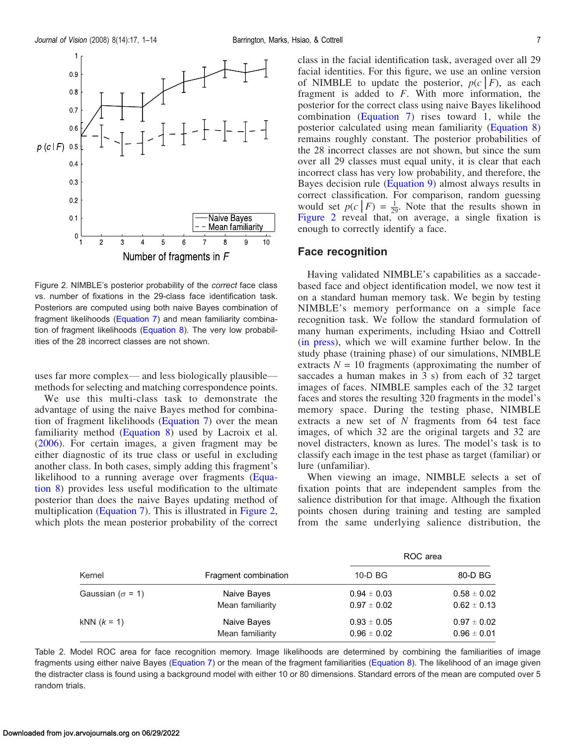<span id="page-6-0"></span>

Figure 2. NIMBLE's posterior probability of the correct face class vs. number of fixations in the 29-class face identification task. Posteriors are computed using both naive Bayes combination of fragment likelihoods [\(Equation 7](#page-4-0)) and mean familiarity combination of fragment likelihoods ([Equation 8\)](#page-4-0). The very low probabilities of the 28 incorrect classes are not shown.

uses far more complex— and less biologically plausible methods for selecting and matching correspondence points.

We use this multi-class task to demonstrate the advantage of using the naive Bayes method for combination of fragment likelihoods [\(Equation 7\)](#page-4-0) over the mean familiarity method ([Equation 8](#page-4-0)) used by Lacroix et al. ([2006\)](#page-12-0). For certain images, a given fragment may be either diagnostic of its true class or useful in excluding another class. In both cases, simply adding this fragment's likelihood to a running average over fragments [\(Equa](#page-4-0)[tion 8](#page-4-0)) provides less useful modification to the ultimate posterior than does the naive Bayes updating method of multiplication ([Equation 7\)](#page-4-0). This is illustrated in Figure 2, which plots the mean posterior probability of the correct

class in the facial identification task, averaged over all 29 facial identities. For this figure, we use an online version of NIMBLE to update the posterior,  $p(c|F)$ , as each fragment is added to F. With more information, the posterior for the correct class using naive Bayes likelihood combination ([Equation 7](#page-4-0)) rises toward 1, while the posterior calculated using mean familiarity ([Equation 8](#page-4-0)) remains roughly constant. The posterior probabilities of the 28 incorrect classes are not shown, but since the sum over all 29 classes must equal unity, it is clear that each incorrect class has very low probability, and therefore, the Bayes decision rule ([Equation 9](#page-4-0)) almost always results in correct classification. For comparison, random guessing would set  $p(c|F) = \frac{1}{29}$ . Note that the results shown in Figure 2 reveal that, on average, a single fixation is enough to correctly identify a face.

## Face recognition

Having validated NIMBLE's capabilities as a saccadebased face and object identification model, we now test it on a standard human memory task. We begin by testing NIMBLE's memory performance on a simple face recognition task. We follow the standard formulation of many human experiments, including Hsiao and Cottrell [\(in press\)](#page-12-0), which we will examine further below. In the study phase (training phase) of our simulations, NIMBLE extracts  $N = 10$  fragments (approximating the number of saccades a human makes in 3 s) from each of 32 target images of faces. NIMBLE samples each of the 32 target faces and stores the resulting 320 fragments in the model's memory space. During the testing phase, NIMBLE extracts a new set of N fragments from 64 test face images, of which 32 are the original targets and 32 are novel distracters, known as lures. The model's task is to classify each image in the test phase as target (familiar) or lure (unfamiliar).

When viewing an image, NIMBLE selects a set of fixation points that are independent samples from the salience distribution for that image. Although the fixation points chosen during training and testing are sampled from the same underlying salience distribution, the

|                          |                      | ROC area        |                 |  |
|--------------------------|----------------------|-----------------|-----------------|--|
| Kernel                   | Fragment combination | $10-D$ BG       | 80-D BG         |  |
| Gaussian ( $\sigma$ = 1) | Naive Bayes          | $0.94 \pm 0.03$ | $0.58 \pm 0.02$ |  |
|                          | Mean familiarity     | $0.97 \pm 0.02$ | $0.62 \pm 0.13$ |  |
| $kNN (k = 1)$            | Naive Bayes          | $0.93 \pm 0.05$ | $0.97 \pm 0.02$ |  |
|                          | Mean familiarity     | $0.96 \pm 0.02$ | $0.96 \pm 0.01$ |  |

Table 2. Model ROC area for face recognition memory. Image likelihoods are determined by combining the familiarities of image fragments using either naive Bayes ([Equation 7\)](#page-4-0) or the mean of the fragment familiarities ([Equation 8\)](#page-4-0). The likelihood of an image given the distracter class is found using a background model with either 10 or 80 dimensions. Standard errors of the mean are computed over 5 random trials.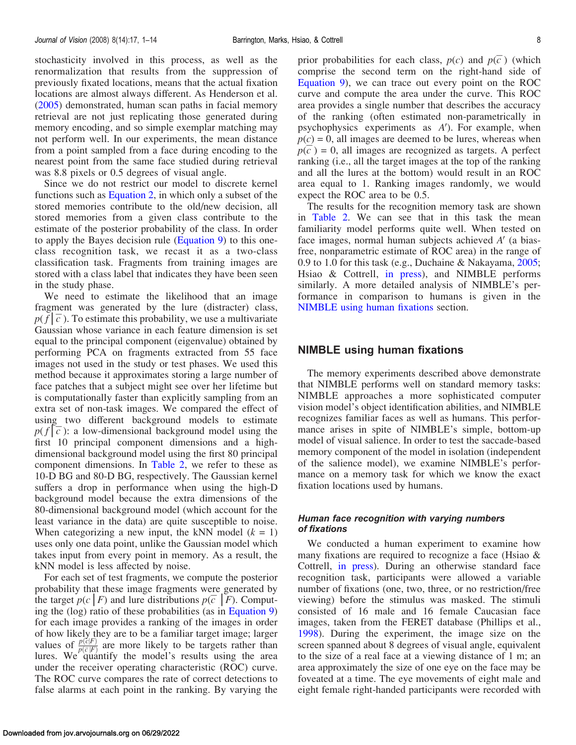<span id="page-7-0"></span>stochasticity involved in this process, as well as the renormalization that results from the suppression of previously fixated locations, means that the actual fixation locations are almost always different. As Henderson et al. ([2005\)](#page-12-0) demonstrated, human scan paths in facial memory retrieval are not just replicating those generated during memory encoding, and so simple exemplar matching may not perform well. In our experiments, the mean distance from a point sampled from a face during encoding to the nearest point from the same face studied during retrieval was 8.8 pixels or 0.5 degrees of visual angle.

Since we do not restrict our model to discrete kernel functions such as [Equation 2](#page-3-0), in which only a subset of the stored memories contribute to the old/new decision, all stored memories from a given class contribute to the estimate of the posterior probability of the class. In order to apply the Bayes decision rule ([Equation 9](#page-4-0)) to this oneclass recognition task, we recast it as a two-class classification task. Fragments from training images are stored with a class label that indicates they have been seen in the study phase.

We need to estimate the likelihood that an image fragment was generated by the lure (distracter) class,  $p(\bar{f}|\bar{c})$ . To estimate this probability, we use a multivariate Gaussian whose variance in each feature dimension is set equal to the principal component (eigenvalue) obtained by performing PCA on fragments extracted from 55 face images not used in the study or test phases. We used this method because it approximates storing a large number of face patches that a subject might see over her lifetime but is computationally faster than explicitly sampling from an extra set of non-task images. We compared the effect of using two different background models to estimate  $p(f|\overline{c})$ : a low-dimensional background model using the first 10 principal component dimensions and a highdimensional background model using the first 80 principal component dimensions. In [Table 2](#page-6-0), we refer to these as 10-D BG and 80-D BG, respectively. The Gaussian kernel suffers a drop in performance when using the high-D background model because the extra dimensions of the 80-dimensional background model (which account for the least variance in the data) are quite susceptible to noise. When categorizing a new input, the kNN model  $(k = 1)$ uses only one data point, unlike the Gaussian model which takes input from every point in memory. As a result, the kNN model is less affected by noise.

For each set of test fragments, we compute the posterior probability that these image fragments were generated by the target  $p(c \mid F)$  and lure distributions  $p(\overline{c} \mid F)$ . Computing the (log) ratio of these probabilities (as in [Equation 9\)](#page-4-0) for each image provides a ranking of the images in order of how likely they are to be a familiar target image; larger values of  $p(\vec{c}|F)$  are more likely to be targets rather than lures. We quantify the model's results using the area under the receiver operating characteristic (ROC) curve. The ROC curve compares the rate of correct detections to false alarms at each point in the ranking. By varying the

prior probabilities for each class,  $p(c)$  and  $p(\overline{c})$  (which comprise the second term on the right-hand side of [Equation 9\)](#page-4-0), we can trace out every point on the ROC curve and compute the area under the curve. This ROC area provides a single number that describes the accuracy of the ranking (often estimated non-parametrically in psychophysics experiments as  $A'$ ). For example, when  $p(c) = 0$ , all images are deemed to be lures, whereas when  $p(\overline{c}) = 0$ , all images are recognized as targets. A perfect ranking (i.e., all the target images at the top of the ranking and all the lures at the bottom) would result in an ROC area equal to 1. Ranking images randomly, we would expect the ROC area to be 0.5.

The results for the recognition memory task are shown in [Table 2.](#page-6-0) We can see that in this task the mean familiarity model performs quite well. When tested on face images, normal human subjects achieved  $A'$  (a biasfree, nonparametric estimate of ROC area) in the range of 0.9 to 1.0 for this task (e.g., Duchaine & Nakayama, [2005;](#page-12-0) Hsiao & Cottrell, [in press](#page-12-0)), and NIMBLE performs similarly. A more detailed analysis of NIMBLE's performance in comparison to humans is given in the NIMBLE using human fixations section.

### NIMBLE using human fixations

The memory experiments described above demonstrate that NIMBLE performs well on standard memory tasks: NIMBLE approaches a more sophisticated computer vision model's object identification abilities, and NIMBLE recognizes familiar faces as well as humans. This performance arises in spite of NIMBLE's simple, bottom-up model of visual salience. In order to test the saccade-based memory component of the model in isolation (independent of the salience model), we examine NIMBLE's performance on a memory task for which we know the exact fixation locations used by humans.

## Human face recognition with varying numbers of fixations

We conducted a human experiment to examine how many fixations are required to recognize a face (Hsiao & Cottrell, [in press\)](#page-12-0). During an otherwise standard face recognition task, participants were allowed a variable number of fixations (one, two, three, or no restriction/free viewing) before the stimulus was masked. The stimuli consisted of 16 male and 16 female Caucasian face images, taken from the FERET database (Phillips et al., [1998\)](#page-12-0). During the experiment, the image size on the screen spanned about 8 degrees of visual angle, equivalent to the size of a real face at a viewing distance of 1 m; an area approximately the size of one eye on the face may be foveated at a time. The eye movements of eight male and eight female right-handed participants were recorded with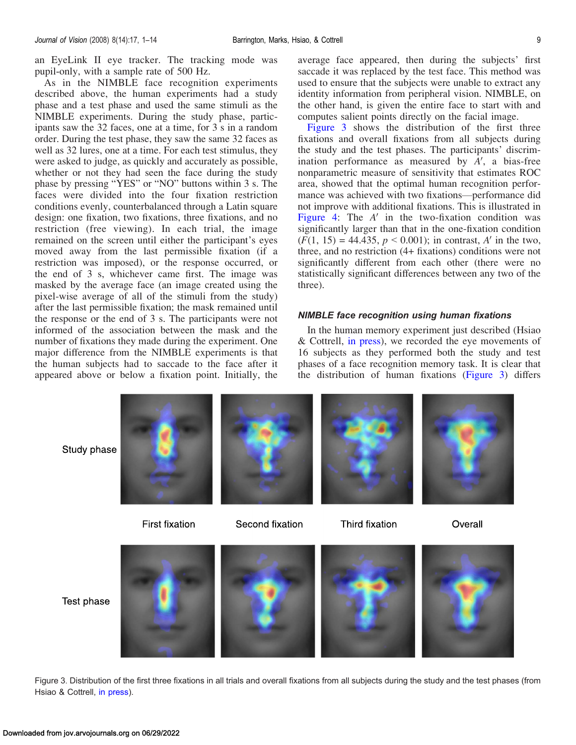<span id="page-8-0"></span>an EyeLink II eye tracker. The tracking mode was pupil-only, with a sample rate of 500 Hz.

As in the NIMBLE face recognition experiments described above, the human experiments had a study phase and a test phase and used the same stimuli as the NIMBLE experiments. During the study phase, participants saw the 32 faces, one at a time, for 3 s in a random order. During the test phase, they saw the same 32 faces as well as 32 lures, one at a time. For each test stimulus, they were asked to judge, as quickly and accurately as possible, whether or not they had seen the face during the study phase by pressing "YES" or "NO" buttons within 3 s. The faces were divided into the four fixation restriction conditions evenly, counterbalanced through a Latin square design: one fixation, two fixations, three fixations, and no restriction (free viewing). In each trial, the image remained on the screen until either the participant's eyes moved away from the last permissible fixation (if a restriction was imposed), or the response occurred, or the end of 3 s, whichever came first. The image was masked by the average face (an image created using the pixel-wise average of all of the stimuli from the study) after the last permissible fixation; the mask remained until the response or the end of 3 s. The participants were not informed of the association between the mask and the number of fixations they made during the experiment. One major difference from the NIMBLE experiments is that the human subjects had to saccade to the face after it appeared above or below a fixation point. Initially, the

average face appeared, then during the subjects' first saccade it was replaced by the test face. This method was used to ensure that the subjects were unable to extract any identity information from peripheral vision. NIMBLE, on the other hand, is given the entire face to start with and computes salient points directly on the facial image.

Figure 3 shows the distribution of the first three fixations and overall fixations from all subjects during the study and the test phases. The participants' discrimination performance as measured by  $A'$ , a bias-free nonparametric measure of sensitivity that estimates ROC area, showed that the optimal human recognition performance was achieved with two fixations-performance did not improve with additional fixations. This is illustrated in [Figure 4:](#page-9-0) The  $A'$  in the two-fixation condition was significantly larger than that in the one-fixation condition  $(F(1, 15) = 44.435, p \le 0.001)$ ; in contrast, A' in the two, three, and no restriction (4+ fixations) conditions were not significantly different from each other (there were no statistically significant differences between any two of the three).

## NIMBLE face recognition using human fixations

In the human memory experiment just described (Hsiao & Cottrell, [in press\)](#page-12-0), we recorded the eye movements of 16 subjects as they performed both the study and test phases of a face recognition memory task. It is clear that the distribution of human fixations (Figure 3) differs

Study phase



Test phase



Figure 3. Distribution of the first three fixations in all trials and overall fixations from all subjects during the study and the test phases (from Hsiao & Cottrell, [in press\)](#page-12-0).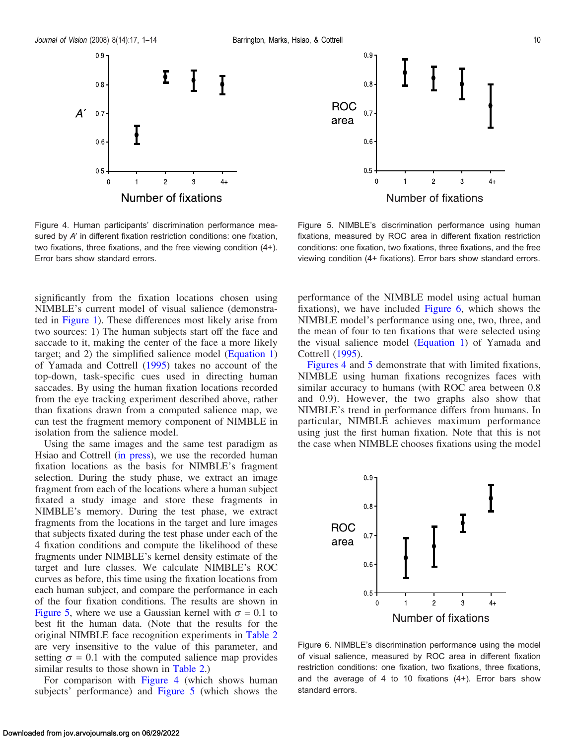<span id="page-9-0"></span>



Number of fixations

Figure 4. Human participants' discrimination performance measured by A' in different fixation restriction conditions: one fixation, two fixations, three fixations, and the free viewing condition (4+). Error bars show standard errors.

significantly from the fixation locations chosen using NIMBLE's current model of visual salience (demonstrated in [Figure 1](#page-2-0)). These differences most likely arise from two sources: 1) The human subjects start off the face and saccade to it, making the center of the face a more likely target; and 2) the simplified salience model [\(Equation 1\)](#page-1-0) of Yamada and Cottrell [\(1995](#page-13-0)) takes no account of the top-down, task-specific cues used in directing human saccades. By using the human fixation locations recorded from the eye tracking experiment described above, rather than fixations drawn from a computed salience map, we can test the fragment memory component of NIMBLE in isolation from the salience model.

Using the same images and the same test paradigm as Hsiao and Cottrell [\(in press\)](#page-12-0), we use the recorded human fixation locations as the basis for NIMBLE's fragment selection. During the study phase, we extract an image fragment from each of the locations where a human subject fixated a study image and store these fragments in NIMBLE's memory. During the test phase, we extract fragments from the locations in the target and lure images that subjects fixated during the test phase under each of the 4 fixation conditions and compute the likelihood of these fragments under NIMBLE's kernel density estimate of the target and lure classes. We calculate NIMBLE's ROC curves as before, this time using the fixation locations from each human subject, and compare the performance in each of the four fixation conditions. The results are shown in Figure 5, where we use a Gaussian kernel with  $\sigma = 0.1$  to best fit the human data. (Note that the results for the original NIMBLE face recognition experiments in [Table 2](#page-6-0) are very insensitive to the value of this parameter, and setting  $\sigma = 0.1$  with the computed salience map provides similar results to those shown in [Table 2](#page-6-0).)

For comparison with Figure 4 (which shows human subjects' performance) and Figure 5 (which shows the

Figure 5. NIMBLE's discrimination performance using human fixations, measured by ROC area in different fixation restriction conditions: one fixation, two fixations, three fixations, and the free viewing condition (4+ fixations). Error bars show standard errors.

performance of the NIMBLE model using actual human fixations), we have included Figure 6, which shows the NIMBLE model's performance using one, two, three, and the mean of four to ten fixations that were selected using the visual salience model ([Equation 1](#page-1-0)) of Yamada and Cottrell ([1995\)](#page-13-0).

Figures 4 and 5 demonstrate that with limited fixations, NIMBLE using human fixations recognizes faces with similar accuracy to humans (with ROC area between 0.8 and 0.9). However, the two graphs also show that NIMBLE's trend in performance differs from humans. In particular, NIMBLE achieves maximum performance using just the first human fixation. Note that this is not the case when NIMBLE chooses fixations using the model



Figure 6. NIMBLE's discrimination performance using the model of visual salience, measured by ROC area in different fixation restriction conditions: one fixation, two fixations, three fixations, and the average of 4 to 10 fixations (4+). Error bars show standard errors.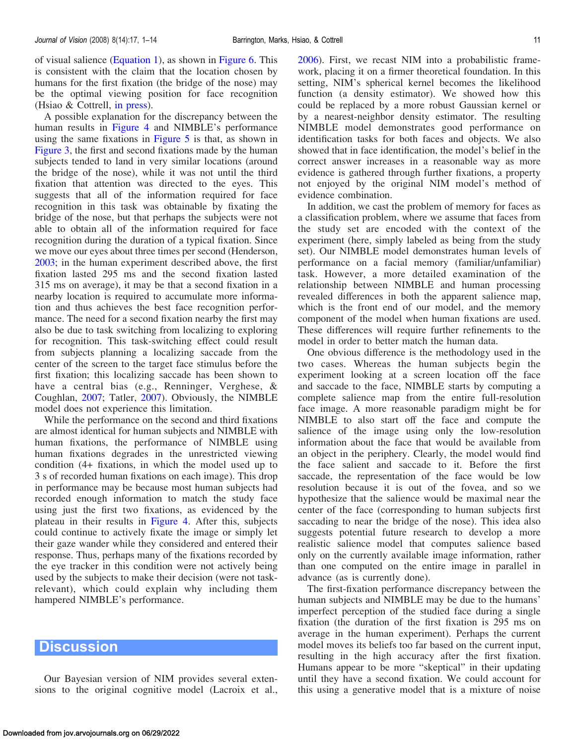<span id="page-10-0"></span>of visual salience [\(Equation 1](#page-1-0)), as shown in [Figure 6](#page-9-0). This is consistent with the claim that the location chosen by humans for the first fixation (the bridge of the nose) may be the optimal viewing position for face recognition (Hsiao & Cottrell, [in press\)](#page-12-0).

A possible explanation for the discrepancy between the human results in [Figure 4](#page-9-0) and NIMBLE's performance using the same fixations in [Figure 5](#page-9-0) is that, as shown in [Figure 3,](#page-8-0) the first and second fixations made by the human subjects tended to land in very similar locations (around the bridge of the nose), while it was not until the third fixation that attention was directed to the eyes. This suggests that all of the information required for face recognition in this task was obtainable by fixating the bridge of the nose, but that perhaps the subjects were not able to obtain all of the information required for face recognition during the duration of a typical fixation. Since we move our eyes about three times per second (Henderson, [2003;](#page-12-0) in the human experiment described above, the first fixation lasted 295 ms and the second fixation lasted 315 ms on average), it may be that a second fixation in a nearby location is required to accumulate more information and thus achieves the best face recognition performance. The need for a second fixation nearby the first may also be due to task switching from localizing to exploring for recognition. This task-switching effect could result from subjects planning a localizing saccade from the center of the screen to the target face stimulus before the first fixation; this localizing saccade has been shown to have a central bias (e.g., Renninger, Verghese, & Coughlan, [2007;](#page-12-0) Tatler, [2007\)](#page-12-0). Obviously, the NIMBLE model does not experience this limitation.

While the performance on the second and third fixations are almost identical for human subjects and NIMBLE with human fixations, the performance of NIMBLE using human fixations degrades in the unrestricted viewing condition (4+ fixations, in which the model used up to 3 s of recorded human fixations on each image). This drop in performance may be because most human subjects had recorded enough information to match the study face using just the first two fixations, as evidenced by the plateau in their results in [Figure 4.](#page-9-0) After this, subjects could continue to actively fixate the image or simply let their gaze wander while they considered and entered their response. Thus, perhaps many of the fixations recorded by the eye tracker in this condition were not actively being used by the subjects to make their decision (were not taskrelevant), which could explain why including them hampered NIMBLE's performance.

## **Discussion**

Our Bayesian version of NIM provides several extensions to the original cognitive model (Lacroix et al.,

[2006\)](#page-12-0). First, we recast NIM into a probabilistic framework, placing it on a firmer theoretical foundation. In this setting, NIM's spherical kernel becomes the likelihood function (a density estimator). We showed how this could be replaced by a more robust Gaussian kernel or by a nearest-neighbor density estimator. The resulting NIMBLE model demonstrates good performance on identification tasks for both faces and objects. We also showed that in face identification, the model's belief in the correct answer increases in a reasonable way as more evidence is gathered through further fixations, a property not enjoyed by the original NIM model's method of evidence combination.

In addition, we cast the problem of memory for faces as a classification problem, where we assume that faces from the study set are encoded with the context of the experiment (here, simply labeled as being from the study set). Our NIMBLE model demonstrates human levels of performance on a facial memory (familiar/unfamiliar) task. However, a more detailed examination of the relationship between NIMBLE and human processing revealed differences in both the apparent salience map, which is the front end of our model, and the memory component of the model when human fixations are used. These differences will require further refinements to the model in order to better match the human data.

One obvious difference is the methodology used in the two cases. Whereas the human subjects begin the experiment looking at a screen location off the face and saccade to the face, NIMBLE starts by computing a complete salience map from the entire full-resolution face image. A more reasonable paradigm might be for NIMBLE to also start off the face and compute the salience of the image using only the low-resolution information about the face that would be available from an object in the periphery. Clearly, the model would find the face salient and saccade to it. Before the first saccade, the representation of the face would be low resolution because it is out of the fovea, and so we hypothesize that the salience would be maximal near the center of the face (corresponding to human subjects first saccading to near the bridge of the nose). This idea also suggests potential future research to develop a more realistic salience model that computes salience based only on the currently available image information, rather than one computed on the entire image in parallel in advance (as is currently done).

The first-fixation performance discrepancy between the human subjects and NIMBLE may be due to the humans' imperfect perception of the studied face during a single fixation (the duration of the first fixation is 295 ms on average in the human experiment). Perhaps the current model moves its beliefs too far based on the current input, resulting in the high accuracy after the first fixation. Humans appear to be more "skeptical" in their updating until they have a second fixation. We could account for this using a generative model that is a mixture of noise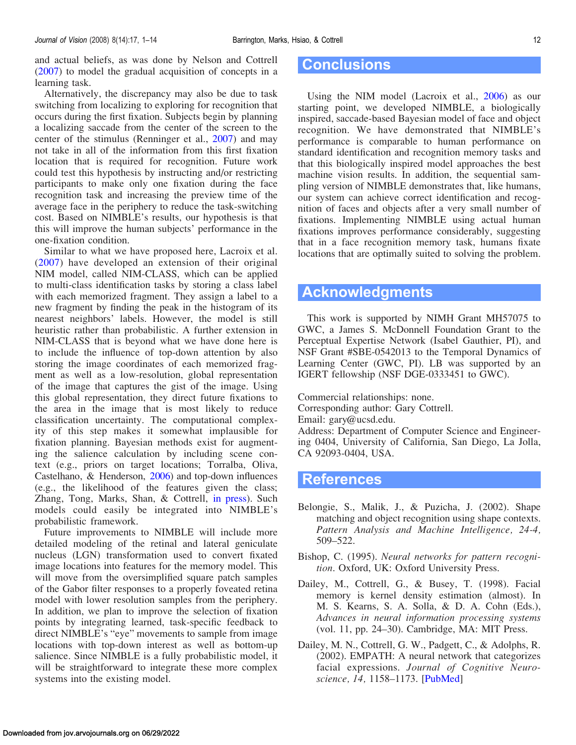<span id="page-11-0"></span>and actual beliefs, as was done by Nelson and Cottrell ([2007\)](#page-12-0) to model the gradual acquisition of concepts in a learning task.

Alternatively, the discrepancy may also be due to task switching from localizing to exploring for recognition that occurs during the first fixation. Subjects begin by planning a localizing saccade from the center of the screen to the center of the stimulus (Renninger et al., [2007\)](#page-12-0) and may not take in all of the information from this first fixation location that is required for recognition. Future work could test this hypothesis by instructing and/or restricting participants to make only one fixation during the face recognition task and increasing the preview time of the average face in the periphery to reduce the task-switching cost. Based on NIMBLE's results, our hypothesis is that this will improve the human subjects' performance in the one-fixation condition.

Similar to what we have proposed here, Lacroix et al. ([2007\)](#page-12-0) have developed an extension of their original NIM model, called NIM-CLASS, which can be applied to multi-class identification tasks by storing a class label with each memorized fragment. They assign a label to a new fragment by finding the peak in the histogram of its nearest neighbors' labels. However, the model is still heuristic rather than probabilistic. A further extension in NIM-CLASS that is beyond what we have done here is to include the influence of top-down attention by also storing the image coordinates of each memorized fragment as well as a low-resolution, global representation of the image that captures the gist of the image. Using this global representation, they direct future fixations to the area in the image that is most likely to reduce classification uncertainty. The computational complexity of this step makes it somewhat implausible for fixation planning. Bayesian methods exist for augmenting the salience calculation by including scene context (e.g., priors on target locations; Torralba, Oliva, Castelhano, & Henderson, [2006\)](#page-12-0) and top-down influences (e.g., the likelihood of the features given the class; Zhang, Tong, Marks, Shan, & Cottrell, [in press](#page-13-0)). Such models could easily be integrated into NIMBLE's probabilistic framework.

Future improvements to NIMBLE will include more detailed modeling of the retinal and lateral geniculate nucleus (LGN) transformation used to convert fixated image locations into features for the memory model. This will move from the oversimplified square patch samples of the Gabor filter responses to a properly foveated retina model with lower resolution samples from the periphery. In addition, we plan to improve the selection of fixation points by integrating learned, task-specific feedback to direct NIMBLE's "eye" movements to sample from image locations with top-down interest as well as bottom-up salience. Since NIMBLE is a fully probabilistic model, it will be straightforward to integrate these more complex systems into the existing model.

# **Conclusions**

Using the NIM model (Lacroix et al., [2006](#page-12-0)) as our starting point, we developed NIMBLE, a biologically inspired, saccade-based Bayesian model of face and object recognition. We have demonstrated that NIMBLE's performance is comparable to human performance on standard identification and recognition memory tasks and that this biologically inspired model approaches the best machine vision results. In addition, the sequential sampling version of NIMBLE demonstrates that, like humans, our system can achieve correct identification and recognition of faces and objects after a very small number of fixations. Implementing NIMBLE using actual human fixations improves performance considerably, suggesting that in a face recognition memory task, humans fixate locations that are optimally suited to solving the problem.

# Acknowledgments

This work is supported by NIMH Grant MH57075 to GWC, a James S. McDonnell Foundation Grant to the Perceptual Expertise Network (Isabel Gauthier, PI), and NSF Grant #SBE-0542013 to the Temporal Dynamics of Learning Center (GWC, PI). LB was supported by an IGERT fellowship (NSF DGE-0333451 to GWC).

Commercial relationships: none.

Corresponding author: Gary Cottrell.

Email: gary@ucsd.edu.

Address: Department of Computer Science and Engineering 0404, University of California, San Diego, La Jolla, CA 92093-0404, USA.

## References

- Belongie, S., Malik, J., & Puzicha, J. (2002). Shape matching and object recognition using shape contexts. Pattern Analysis and Machine Intelligence, 24-4, 509–522.
- Bishop, C. (1995). Neural networks for pattern recognition. Oxford, UK: Oxford University Press.
- Dailey, M., Cottrell, G., & Busey, T. (1998). Facial memory is kernel density estimation (almost). In M. S. Kearns, S. A. Solla, & D. A. Cohn (Eds.), Advances in neural information processing systems (vol. 11, pp. 24–30). Cambridge, MA: MIT Press.
- Dailey, M. N., Cottrell, G. W., Padgett, C., & Adolphs, R. (2002). EMPATH: A neural network that categorizes facial expressions. Journal of Cognitive Neuro-science, 14, 1158-1173. [[PubMed\]](http://www.ncbi.nlm.nih.gov/pubmed/12495523?ordinalpos=4&itool=EntrezSystem2.PEntrez.Pubmed.Pubmed_ResultsPanel.Pubmed_RVDocSum)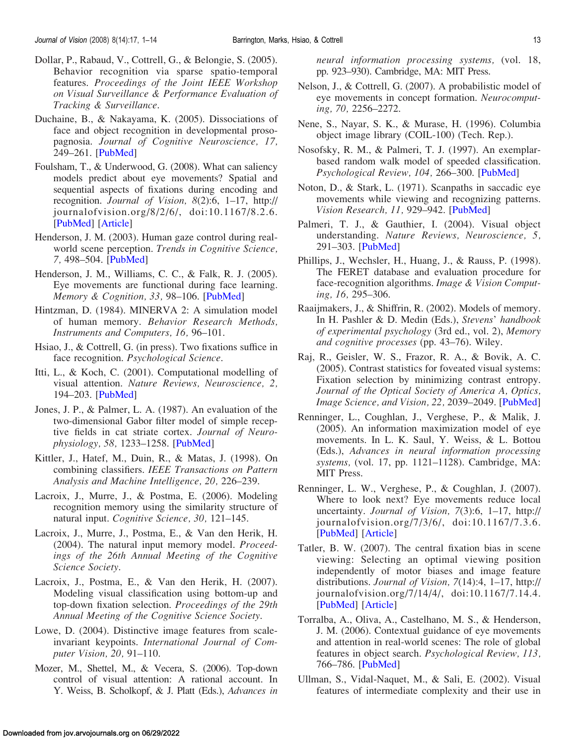- <span id="page-12-0"></span>Dollar, P., Rabaud, V., Cottrell, G., & Belongie, S. (2005). Behavior recognition via sparse spatio-temporal features. Proceedings of the Joint IEEE Workshop on Visual Surveillance & Performance Evaluation of Tracking & Surveillance.
- Duchaine, B., & Nakayama, K. (2005). Dissociations of face and object recognition in developmental prosopagnosia. Journal of Cognitive Neuroscience, 17, 249–261. [\[PubMed](http://www.ncbi.nlm.nih.gov/pubmed/15811237?ordinalpos=1&itool=EntrezSystem2.PEntrez.Pubmed.Pubmed_ResultsPanel.Pubmed_RVDocSum)]
- Foulsham, T., & Underwood, G. (2008). What can saliency models predict about eye movements? Spatial and sequential aspects of fixations during encoding and recognition. Journal of Vision, 8(2):6, 1–17, http:// journalofvision.org/8/2/6/, doi:10.1167/8.2.6. [\[PubMed\]](http://www.ncbi.nlm.nih.gov/pubmed/18318632?ordinalpos=2&itool=EntrezSystem2.PEntrez.Pubmed.Pubmed_ResultsPanel.Pubmed_RVDocSum) [\[Article](http://journalofvision.org/8/2/6/)]
- Henderson, J. M. (2003). Human gaze control during realworld scene perception. Trends in Cognitive Science, 7, 498–504. [[PubMed\]](http://www.ncbi.nlm.nih.gov/pubmed/14585447?ordinalpos=34&itool=EntrezSystem2.PEntrez.Pubmed.Pubmed_ResultsPanel.Pubmed_RVDocSum)
- Henderson, J. M., Williams, C. C., & Falk, R. J. (2005). Eye movements are functional during face learning. Memory & Cognition, 33, 98-106. [\[PubMed](http://www.ncbi.nlm.nih.gov/pubmed/15915796?ordinalpos=23&itool=EntrezSystem2.PEntrez.Pubmed.Pubmed_ResultsPanel.Pubmed_RVDocSum)]
- Hintzman, D. (1984). MINERVA 2: A simulation model of human memory. Behavior Research Methods, Instruments and Computers, 16, 96–101.
- Hsiao, J., & Cottrell, G. (in press). Two fixations suffice in face recognition. Psychological Science.
- Itti, L., & Koch, C. (2001). Computational modelling of visual attention. Nature Reviews, Neuroscience, 2, 194–203. [\[PubMed](http://www.ncbi.nlm.nih.gov/pubmed/11256080?ordinalpos=2&itool=EntrezSystem2.PEntrez.Pubmed.Pubmed_ResultsPanel.Pubmed_RVDocSum)]
- Jones, J. P., & Palmer, L. A. (1987). An evaluation of the two-dimensional Gabor filter model of simple receptive fields in cat striate cortex. Journal of Neurophysiology, 58, 1233–1258. [\[PubMed](http://www.ncbi.nlm.nih.gov/pubmed/3437332?ordinalpos=41&itool=EntrezSystem2.PEntrez.Pubmed.Pubmed_ResultsPanel.Pubmed_RVDocSum)]
- Kittler, J., Hatef, M., Duin, R., & Matas, J. (1998). On combining classifiers. IEEE Transactions on Pattern Analysis and Machine Intelligence, 20, 226–239.
- Lacroix, J., Murre, J., & Postma, E. (2006). Modeling recognition memory using the similarity structure of natural input. Cognitive Science, 30, 121–145.
- Lacroix, J., Murre, J., Postma, E., & Van den Herik, H. (2004). The natural input memory model. Proceedings of the 26th Annual Meeting of the Cognitive Science Society.
- Lacroix, J., Postma, E., & Van den Herik, H. (2007). Modeling visual classification using bottom-up and top-down fixation selection. Proceedings of the 29th Annual Meeting of the Cognitive Science Society.
- Lowe, D. (2004). Distinctive image features from scaleinvariant keypoints. International Journal of Computer Vision, 20, 91–110.
- Mozer, M., Shettel, M., & Vecera, S. (2006). Top-down control of visual attention: A rational account. In Y. Weiss, B. Scholkopf, & J. Platt (Eds.), Advances in

neural information processing systems, (vol. 18, pp. 923–930). Cambridge, MA: MIT Press.

- Nelson, J., & Cottrell, G. (2007). A probabilistic model of eye movements in concept formation. Neurocomputing, 70, 2256–2272.
- Nene, S., Nayar, S. K., & Murase, H. (1996). Columbia object image library (COIL-100) (Tech. Rep.).
- Nosofsky, R. M., & Palmeri, T. J. (1997). An exemplarbased random walk model of speeded classification. Psychological Review, 104, 266–300. [[PubMed\]](http://www.ncbi.nlm.nih.gov/pubmed/9127583?ordinalpos=4&itool=EntrezSystem2.PEntrez.Pubmed.Pubmed_ResultsPanel.Pubmed_RVDocSum)
- Noton, D., & Stark, L. (1971). Scanpaths in saccadic eye movements while viewing and recognizing patterns. Vision Research, 11, 929–942. [[PubMed\]](http://www.ncbi.nlm.nih.gov/pubmed/5133265?ordinalpos=3&itool=EntrezSystem2.PEntrez.Pubmed.Pubmed_ResultsPanel.Pubmed_RVDocSum)
- Palmeri, T. J., & Gauthier, I. (2004). Visual object understanding. Nature Reviews, Neuroscience, 5, 291–303. [[PubMed\]](http://www.ncbi.nlm.nih.gov/pubmed/15034554?ordinalpos=25&itool=EntrezSystem2.PEntrez.Pubmed.Pubmed_ResultsPanel.Pubmed_RVDocSum)
- Phillips, J., Wechsler, H., Huang, J., & Rauss, P. (1998). The FERET database and evaluation procedure for face-recognition algorithms. Image & Vision Computing, 16, 295–306.
- Raaijmakers, J., & Shiffrin, R. (2002). Models of memory. In H. Pashler & D. Medin (Eds.), Stevens' handbook of experimental psychology (3rd ed., vol. 2), Memory and cognitive processes (pp. 43–76). Wiley.
- Raj, R., Geisler, W. S., Frazor, R. A., & Bovik, A. C. (2005). Contrast statistics for foveated visual systems: Fixation selection by minimizing contrast entropy. Journal of the Optical Society of America A, Optics, Image Science, and Vision, 22, 2039-2049. [\[PubMed](http://www.ncbi.nlm.nih.gov/pubmed/16277275?ordinalpos=35&itool=EntrezSystem2.PEntrez.Pubmed.Pubmed_ResultsPanel.Pubmed_RVDocSum)]
- Renninger, L., Coughlan, J., Verghese, P., & Malik, J. (2005). An information maximization model of eye movements. In L. K. Saul, Y. Weiss, & L. Bottou (Eds.), Advances in neural information processing systems, (vol. 17, pp. 1121–1128). Cambridge, MA: MIT Press.
- Renninger, L. W., Verghese, P., & Coughlan, J. (2007). Where to look next? Eye movements reduce local uncertainty. Journal of Vision, 7(3):6, 1–17, http:// journalofvision.org/7/3/6/, doi:10.1167/7.3.6. [\[PubMed](http://www.ncbi.nlm.nih.gov/pubmed/17461684?ordinalpos=2&itool=EntrezSystem2.PEntrez.Pubmed.Pubmed_ResultsPanel.Pubmed_RVDocSum)] [\[Article\]](http://journalofvision.org/7/3/6/)
- Tatler, B. W. (2007). The central fixation bias in scene viewing: Selecting an optimal viewing position independently of motor biases and image feature distributions. Journal of Vision, 7(14):4, 1–17, http:// journalofvision.org/7/14/4/, doi:10.1167/7.14.4. [\[PubMed](http://www.ncbi.nlm.nih.gov/pubmed/18217799?ordinalpos=2&itool=EntrezSystem2.PEntrez.Pubmed.Pubmed_ResultsPanel.Pubmed_RVDocSum)] [\[Article\]](http://journalofvision.org/7/14/4/)
- Torralba, A., Oliva, A., Castelhano, M. S., & Henderson, J. M. (2006). Contextual guidance of eye movements and attention in real-world scenes: The role of global features in object search. Psychological Review, 113, 766–786. [[PubMed\]](http://www.ncbi.nlm.nih.gov/pubmed/17014302?ordinalpos=4&itool=EntrezSystem2.PEntrez.Pubmed.Pubmed_ResultsPanel.Pubmed_RVDocSum)
- Ullman, S., Vidal-Naquet, M., & Sali, E. (2002). Visual features of intermediate complexity and their use in